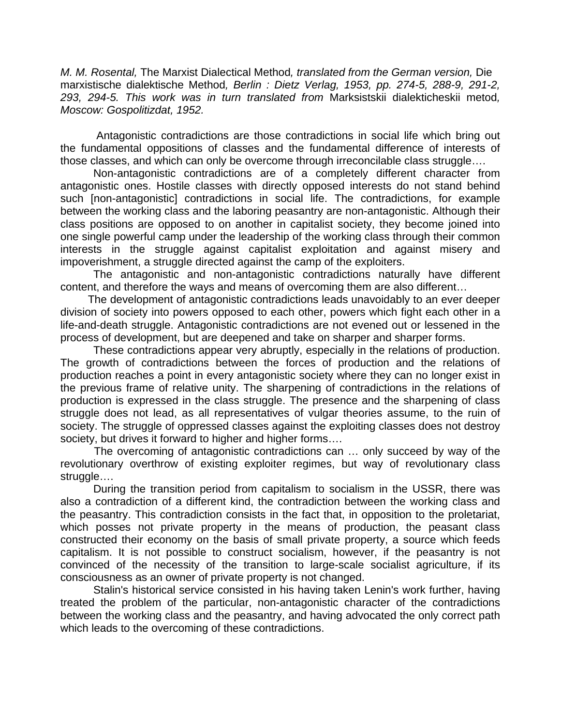*M. M. Rosental,* The Marxist Dialectical Method*, translated from the German version,* Die marxistische dialektische Method*, Berlin : Dietz Verlag, 1953, pp. 274-5, 288-9, 291-2, 293, 294-5. This work was in turn translated from* Marksistskii dialekticheskii metod*, Moscow: Gospolitizdat, 1952.* 

 Antagonistic contradictions are those contradictions in social life which bring out the fundamental oppositions of classes and the fundamental difference of interests of those classes, and which can only be overcome through irreconcilable class struggle….

 Non-antagonistic contradictions are of a completely different character from antagonistic ones. Hostile classes with directly opposed interests do not stand behind such [non-antagonistic] contradictions in social life. The contradictions, for example between the working class and the laboring peasantry are non-antagonistic. Although their class positions are opposed to on another in capitalist society, they become joined into one single powerful camp under the leadership of the working class through their common interests in the struggle against capitalist exploitation and against misery and impoverishment, a struggle directed against the camp of the exploiters.

 The antagonistic and non-antagonistic contradictions naturally have different content, and therefore the ways and means of overcoming them are also different…

 The development of antagonistic contradictions leads unavoidably to an ever deeper division of society into powers opposed to each other, powers which fight each other in a life-and-death struggle. Antagonistic contradictions are not evened out or lessened in the process of development, but are deepened and take on sharper and sharper forms.

 These contradictions appear very abruptly, especially in the relations of production. The growth of contradictions between the forces of production and the relations of production reaches a point in every antagonistic society where they can no longer exist in the previous frame of relative unity. The sharpening of contradictions in the relations of production is expressed in the class struggle. The presence and the sharpening of class struggle does not lead, as all representatives of vulgar theories assume, to the ruin of society. The struggle of oppressed classes against the exploiting classes does not destroy society, but drives it forward to higher and higher forms….

 The overcoming of antagonistic contradictions can … only succeed by way of the revolutionary overthrow of existing exploiter regimes, but way of revolutionary class struggle….

 During the transition period from capitalism to socialism in the USSR, there was also a contradiction of a different kind, the contradiction between the working class and the peasantry. This contradiction consists in the fact that, in opposition to the proletariat, which posses not private property in the means of production, the peasant class constructed their economy on the basis of small private property, a source which feeds capitalism. It is not possible to construct socialism, however, if the peasantry is not convinced of the necessity of the transition to large-scale socialist agriculture, if its consciousness as an owner of private property is not changed.

 Stalin's historical service consisted in his having taken Lenin's work further, having treated the problem of the particular, non-antagonistic character of the contradictions between the working class and the peasantry, and having advocated the only correct path which leads to the overcoming of these contradictions.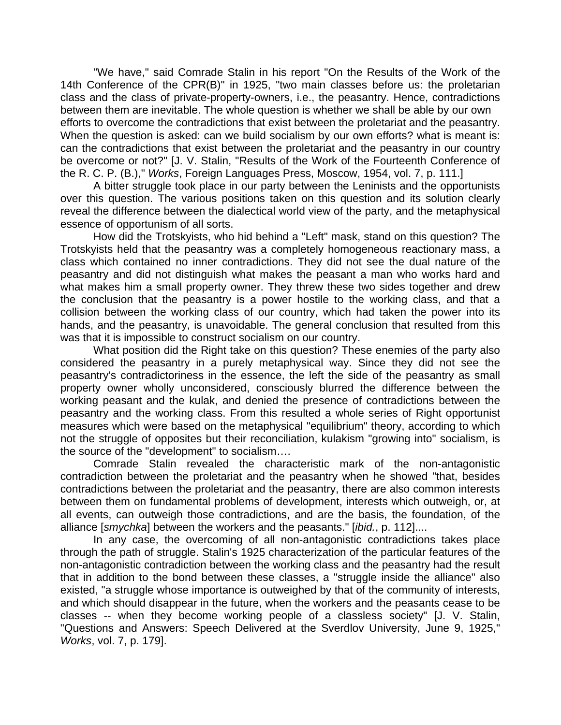"We have," said Comrade Stalin in his report "On the Results of the Work of the 14th Conference of the CPR(B)" in 1925, "two main classes before us: the proletarian class and the class of private-property-owners, i.e., the peasantry. Hence, contradictions between them are inevitable. The whole question is whether we shall be able by our own efforts to overcome the contradictions that exist between the proletariat and the peasantry. When the question is asked: can we build socialism by our own efforts? what is meant is: can the contradictions that exist between the proletariat and the peasantry in our country be overcome or not?" [J. V. Stalin, "Results of the Work of the Fourteenth Conference of the R. C. P. (B.)," *Works*, Foreign Languages Press, Moscow, 1954, vol. 7, p. 111.]

 A bitter struggle took place in our party between the Leninists and the opportunists over this question. The various positions taken on this question and its solution clearly reveal the difference between the dialectical world view of the party, and the metaphysical essence of opportunism of all sorts.

 How did the Trotskyists, who hid behind a "Left" mask, stand on this question? The Trotskyists held that the peasantry was a completely homogeneous reactionary mass, a class which contained no inner contradictions. They did not see the dual nature of the peasantry and did not distinguish what makes the peasant a man who works hard and what makes him a small property owner. They threw these two sides together and drew the conclusion that the peasantry is a power hostile to the working class, and that a collision between the working class of our country, which had taken the power into its hands, and the peasantry, is unavoidable. The general conclusion that resulted from this was that it is impossible to construct socialism on our country.

 What position did the Right take on this question? These enemies of the party also considered the peasantry in a purely metaphysical way. Since they did not see the peasantry's contradictoriness in the essence, the left the side of the peasantry as small property owner wholly unconsidered, consciously blurred the difference between the working peasant and the kulak, and denied the presence of contradictions between the peasantry and the working class. From this resulted a whole series of Right opportunist measures which were based on the metaphysical "equilibrium" theory, according to which not the struggle of opposites but their reconciliation, kulakism "growing into" socialism, is the source of the "development" to socialism….

 Comrade Stalin revealed the characteristic mark of the non-antagonistic contradiction between the proletariat and the peasantry when he showed "that, besides contradictions between the proletariat and the peasantry, there are also common interests between them on fundamental problems of development, interests which outweigh, or, at all events, can outweigh those contradictions, and are the basis, the foundation, of the alliance [*smychka*] between the workers and the peasants." [*ibid.*, p. 112]....

 In any case, the overcoming of all non-antagonistic contradictions takes place through the path of struggle. Stalin's 1925 characterization of the particular features of the non-antagonistic contradiction between the working class and the peasantry had the result that in addition to the bond between these classes, a "struggle inside the alliance" also existed, "a struggle whose importance is outweighed by that of the community of interests, and which should disappear in the future, when the workers and the peasants cease to be classes -- when they become working people of a classless society" [J. V. Stalin, "Questions and Answers: Speech Delivered at the Sverdlov University, June 9, 1925," *Works*, vol. 7, p. 179].